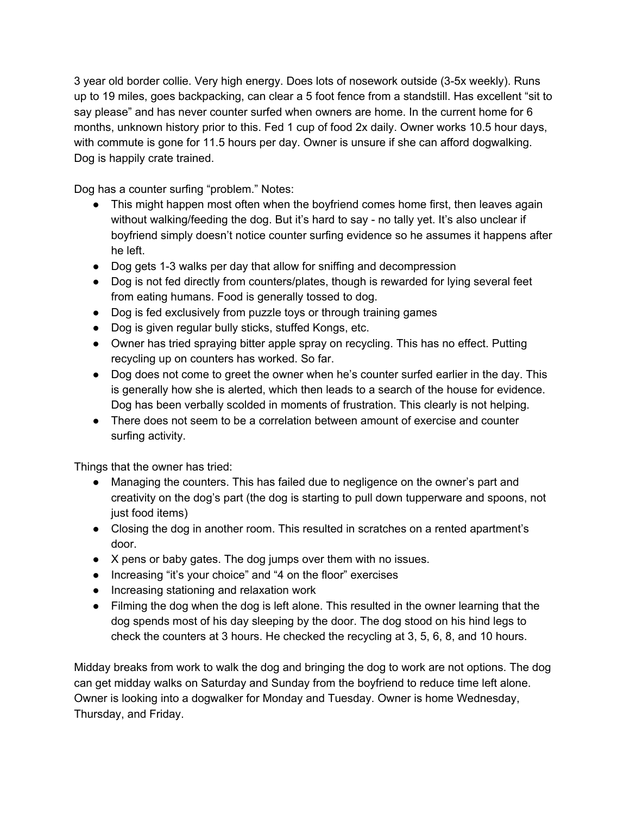3 year old border collie. Very high energy. Does lots of nosework outside (3-5x weekly). Runs up to 19 miles, goes backpacking, can clear a 5 foot fence from a standstill. Has excellent "sit to say please" and has never counter surfed when owners are home. In the current home for 6 months, unknown history prior to this. Fed 1 cup of food 2x daily. Owner works 10.5 hour days, with commute is gone for 11.5 hours per day. Owner is unsure if she can afford dogwalking. Dog is happily crate trained.

Dog has a counter surfing "problem." Notes:

- This might happen most often when the boyfriend comes home first, then leaves again without walking/feeding the dog. But it's hard to say - no tally yet. It's also unclear if boyfriend simply doesn't notice counter surfing evidence so he assumes it happens after he left.
- Dog gets 1-3 walks per day that allow for sniffing and decompression
- Dog is not fed directly from counters/plates, though is rewarded for lying several feet from eating humans. Food is generally tossed to dog.
- Dog is fed exclusively from puzzle toys or through training games
- Dog is given regular bully sticks, stuffed Kongs, etc.
- Owner has tried spraying bitter apple spray on recycling. This has no effect. Putting recycling up on counters has worked. So far.
- Dog does not come to greet the owner when he's counter surfed earlier in the day. This is generally how she is alerted, which then leads to a search of the house for evidence. Dog has been verbally scolded in moments of frustration. This clearly is not helping.
- There does not seem to be a correlation between amount of exercise and counter surfing activity.

Things that the owner has tried:

- Managing the counters. This has failed due to negligence on the owner's part and creativity on the dog's part (the dog is starting to pull down tupperware and spoons, not just food items)
- Closing the dog in another room. This resulted in scratches on a rented apartment's door.
- X pens or baby gates. The dog jumps over them with no issues.
- Increasing "it's your choice" and "4 on the floor" exercises
- Increasing stationing and relaxation work
- Filming the dog when the dog is left alone. This resulted in the owner learning that the dog spends most of his day sleeping by the door. The dog stood on his hind legs to check the counters at 3 hours. He checked the recycling at 3, 5, 6, 8, and 10 hours.

Midday breaks from work to walk the dog and bringing the dog to work are not options. The dog can get midday walks on Saturday and Sunday from the boyfriend to reduce time left alone. Owner is looking into a dogwalker for Monday and Tuesday. Owner is home Wednesday, Thursday, and Friday.